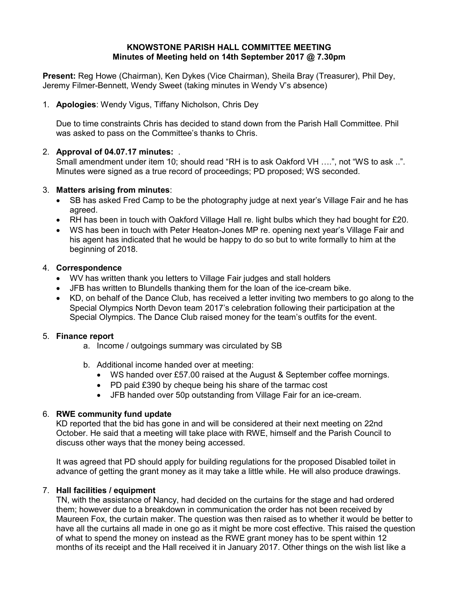### KNOWSTONE PARISH HALL COMMITTEE MEETING Minutes of Meeting held on 14th September 2017 @ 7.30pm

Present: Reg Howe (Chairman), Ken Dykes (Vice Chairman), Sheila Bray (Treasurer), Phil Dey, Jeremy Filmer-Bennett, Wendy Sweet (taking minutes in Wendy V's absence)

1. Apologies: Wendy Vigus, Tiffany Nicholson, Chris Dey

Due to time constraints Chris has decided to stand down from the Parish Hall Committee. Phil was asked to pass on the Committee's thanks to Chris.

# 2. Approval of 04.07.17 minutes: .

Small amendment under item 10; should read "RH is to ask Oakford VH ....", not "WS to ask ..". Minutes were signed as a true record of proceedings; PD proposed; WS seconded.

# 3. Matters arising from minutes:

- SB has asked Fred Camp to be the photography judge at next year's Village Fair and he has agreed.
- RH has been in touch with Oakford Village Hall re. light bulbs which they had bought for £20.
- WS has been in touch with Peter Heaton-Jones MP re. opening next year's Village Fair and his agent has indicated that he would be happy to do so but to write formally to him at the beginning of 2018.

# 4. Correspondence

- WV has written thank you letters to Village Fair judges and stall holders
- JFB has written to Blundells thanking them for the loan of the ice-cream bike.
- KD, on behalf of the Dance Club, has received a letter inviting two members to go along to the Special Olympics North Devon team 2017's celebration following their participation at the Special Olympics. The Dance Club raised money for the team's outfits for the event.

# 5. Finance report

- a. Income / outgoings summary was circulated by SB
- b. Additional income handed over at meeting:
	- WS handed over £57.00 raised at the August & September coffee mornings.
	- PD paid £390 by cheque being his share of the tarmac cost
	- JFB handed over 50p outstanding from Village Fair for an ice-cream.

# 6. RWE community fund update

KD reported that the bid has gone in and will be considered at their next meeting on 22nd October. He said that a meeting will take place with RWE, himself and the Parish Council to discuss other ways that the money being accessed.

It was agreed that PD should apply for building regulations for the proposed Disabled toilet in advance of getting the grant money as it may take a little while. He will also produce drawings.

# 7. Hall facilities / equipment

TN, with the assistance of Nancy, had decided on the curtains for the stage and had ordered them; however due to a breakdown in communication the order has not been received by Maureen Fox, the curtain maker. The question was then raised as to whether it would be better to have all the curtains all made in one go as it might be more cost effective. This raised the question of what to spend the money on instead as the RWE grant money has to be spent within 12 months of its receipt and the Hall received it in January 2017. Other things on the wish list like a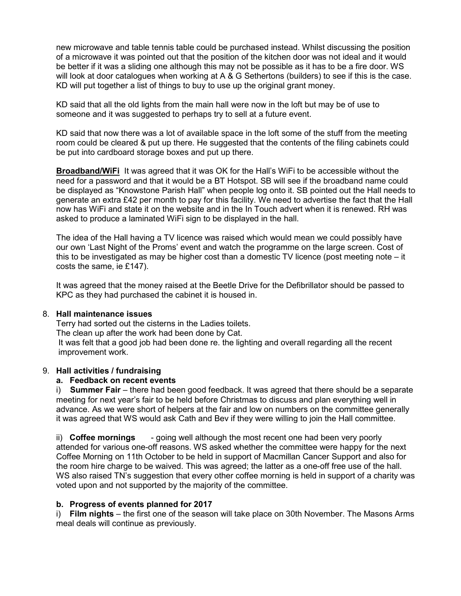new microwave and table tennis table could be purchased instead. Whilst discussing the position of a microwave it was pointed out that the position of the kitchen door was not ideal and it would be better if it was a sliding one although this may not be possible as it has to be a fire door. WS will look at door catalogues when working at A & G Sethertons (builders) to see if this is the case. KD will put together a list of things to buy to use up the original grant money.

KD said that all the old lights from the main hall were now in the loft but may be of use to someone and it was suggested to perhaps try to sell at a future event.

KD said that now there was a lot of available space in the loft some of the stuff from the meeting room could be cleared & put up there. He suggested that the contents of the filing cabinets could be put into cardboard storage boxes and put up there.

Broadband/WiFi It was agreed that it was OK for the Hall's WiFi to be accessible without the need for a password and that it would be a BT Hotspot. SB will see if the broadband name could be displayed as "Knowstone Parish Hall" when people log onto it. SB pointed out the Hall needs to generate an extra £42 per month to pay for this facility. We need to advertise the fact that the Hall now has WiFi and state it on the website and in the In Touch advert when it is renewed. RH was asked to produce a laminated WiFi sign to be displayed in the hall.

The idea of the Hall having a TV licence was raised which would mean we could possibly have our own 'Last Night of the Proms' event and watch the programme on the large screen. Cost of this to be investigated as may be higher cost than a domestic TV licence (post meeting note – it costs the same, ie £147).

It was agreed that the money raised at the Beetle Drive for the Defibrillator should be passed to KPC as they had purchased the cabinet it is housed in.

#### 8. Hall maintenance issues

Terry had sorted out the cisterns in the Ladies toilets. The clean up after the work had been done by Cat. It was felt that a good job had been done re. the lighting and overall regarding all the recent improvement work.

#### 9. Hall activities / fundraising

### a. Feedback on recent events

i) Summer Fair – there had been good feedback. It was agreed that there should be a separate meeting for next year's fair to be held before Christmas to discuss and plan everything well in advance. As we were short of helpers at the fair and low on numbers on the committee generally it was agreed that WS would ask Cath and Bev if they were willing to join the Hall committee.

ii) Coffee mornings - going well although the most recent one had been very poorly attended for various one-off reasons. WS asked whether the committee were happy for the next Coffee Morning on 11th October to be held in support of Macmillan Cancer Support and also for the room hire charge to be waived. This was agreed; the latter as a one-off free use of the hall. WS also raised TN's suggestion that every other coffee morning is held in support of a charity was voted upon and not supported by the majority of the committee.

#### b. Progress of events planned for 2017

i) Film nights – the first one of the season will take place on 30th November. The Masons Arms meal deals will continue as previously.